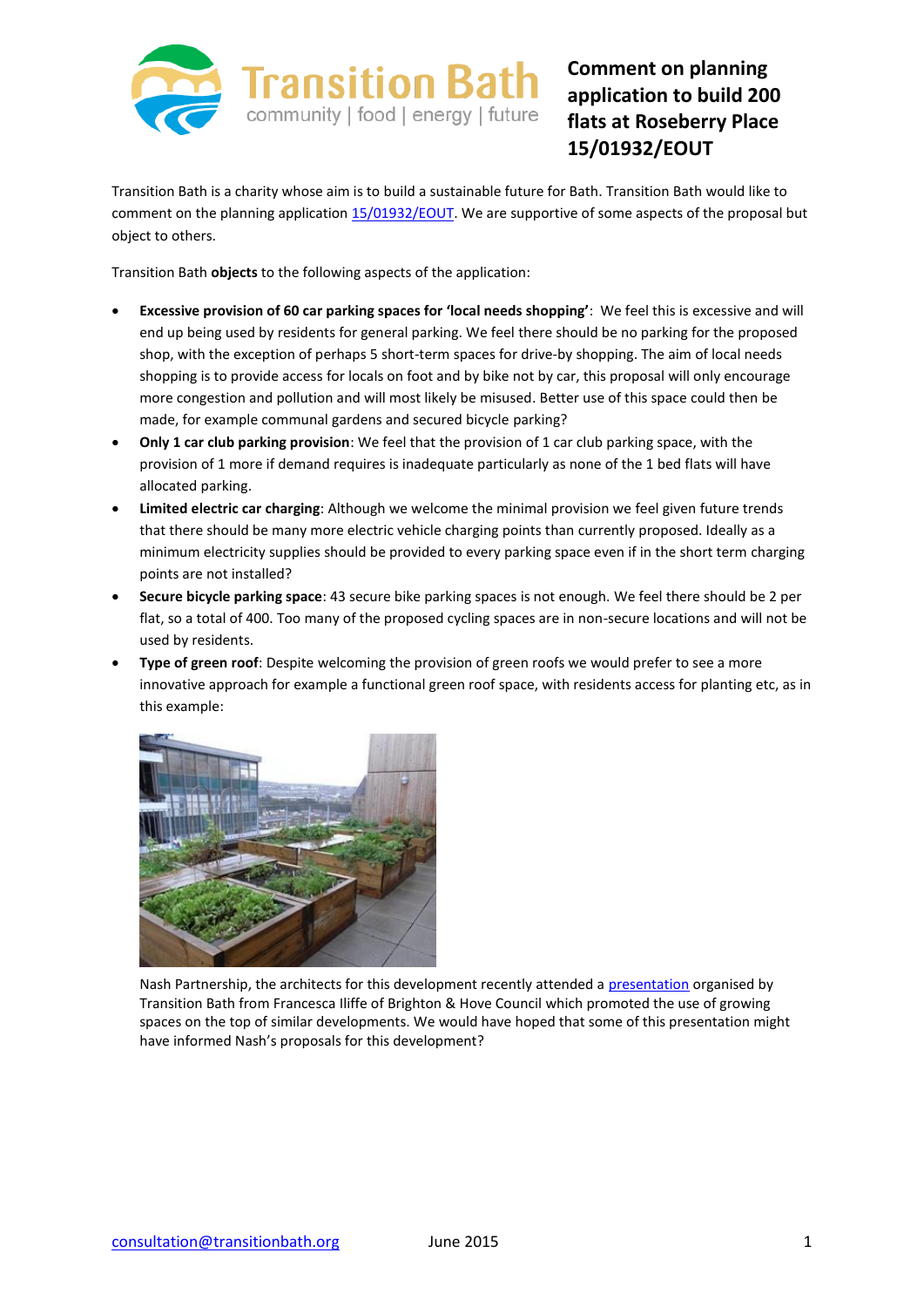

## **Comment on planning application to build 200 flats at Roseberry Place 15/01932/EOUT**

Transition Bath is a charity whose aim is to build a sustainable future for Bath. Transition Bath would like to comment on the planning application [15/01932/EOUT.](http://isharemaps.bathnes.gov.uk/projects/bathnes/developmentcontrol/default.aspx?requesttype=parsetemplate&template=DevelopmentControlApplication.tmplt&basepage=default.aspx&Filter=%5eREFVAL%5e=) We are supportive of some aspects of the proposal but object to others.

Transition Bath **objects** to the following aspects of the application:

- **Excessive provision of 60 car parking spaces for 'local needs shopping'**: We feel this is excessive and will end up being used by residents for general parking. We feel there should be no parking for the proposed shop, with the exception of perhaps 5 short-term spaces for drive-by shopping. The aim of local needs shopping is to provide access for locals on foot and by bike not by car, this proposal will only encourage more congestion and pollution and will most likely be misused. Better use of this space could then be made, for example communal gardens and secured bicycle parking?
- **Only 1 car club parking provision**: We feel that the provision of 1 car club parking space, with the provision of 1 more if demand requires is inadequate particularly as none of the 1 bed flats will have allocated parking.
- **Limited electric car charging**: Although we welcome the minimal provision we feel given future trends that there should be many more electric vehicle charging points than currently proposed. Ideally as a minimum electricity supplies should be provided to every parking space even if in the short term charging points are not installed?
- **Secure bicycle parking space**: 43 secure bike parking spaces is not enough. We feel there should be 2 per flat, so a total of 400. Too many of the proposed cycling spaces are in non-secure locations and will not be used by residents.
- **Type of green roof**: Despite welcoming the provision of green roofs we would prefer to see a more innovative approach for example a functional green roof space, with residents access for planting etc, as in this example:



Nash Partnership, the architects for this development recently attended a [presentation](http://transitionbath.org/wp-content/uploads/2015/03/Transition-Bath-Food-Planning-Advice-Note-March16th-2015.ppt) organised by Transition Bath from Francesca Iliffe of Brighton & Hove Council which promoted the use of growing spaces on the top of similar developments. We would have hoped that some of this presentation might have informed Nash's proposals for this development?